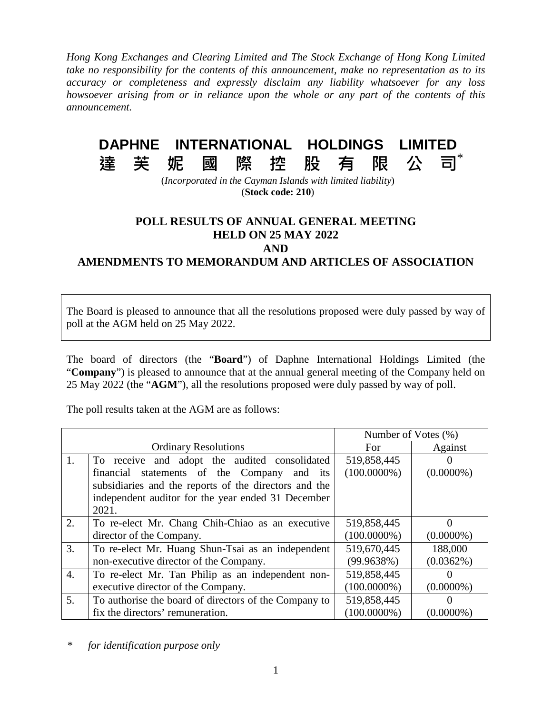*Hong Kong Exchanges and Clearing Limited and The Stock Exchange of Hong Kong Limited take no responsibility for the contents of this announcement, make no representation as to its accuracy or completeness and expressly disclaim any liability whatsoever for any loss howsoever arising from or in reliance upon the whole or any part of the contents of this announcement.*

## **DAPHNE INTERNATIONAL HOLDINGS LIMITED**

al.

## **達芙妮國際控股有限公司**

(*Incorporated in the Cayman Islands with limited liability*) (**Stock code: 210**)

## **POLL RESULTS OF ANNUAL GENERAL MEETING HELD ON 25 MAY 2022 AND**

**AMENDMENTS TO MEMORANDUM AND ARTICLES OF ASSOCIATION**

The Board is pleased to announce that all the resolutions proposed were duly passed by way of poll at the AGM held on 25 May 2022.

The board of directors (the "**Board**") of Daphne International Holdings Limited (the "**Company**") is pleased to announce that at the annual general meeting of the Company held on 25 May 2022 (the "**AGM**"), all the resolutions proposed were duly passed by way of poll.

The poll results taken at the AGM are as follows:

|                             |                                                       | Number of Votes (%) |              |
|-----------------------------|-------------------------------------------------------|---------------------|--------------|
| <b>Ordinary Resolutions</b> |                                                       | For.                | Against      |
| 1.                          | To receive and adopt the audited consolidated         | 519,858,445         |              |
|                             | statements of the Company<br>financial<br>and its     | $(100.0000\%)$      | $(0.0000\%)$ |
|                             | subsidiaries and the reports of the directors and the |                     |              |
|                             | independent auditor for the year ended 31 December    |                     |              |
|                             | 2021.                                                 |                     |              |
| 2.                          | To re-elect Mr. Chang Chih-Chiao as an executive      | 519,858,445         |              |
|                             | director of the Company.                              | $(100.0000\%)$      | $(0.0000\%)$ |
| 3.                          | To re-elect Mr. Huang Shun-Tsai as an independent     | 519,670,445         | 188,000      |
|                             | non-executive director of the Company.                | (99.9638%)          | $(0.0362\%)$ |
| $\overline{4}$ .            | To re-elect Mr. Tan Philip as an independent non-     | 519,858,445         |              |
|                             | executive director of the Company.                    | $(100.0000\%)$      | $(0.0000\%)$ |
| 5.                          | To authorise the board of directors of the Company to | 519,858,445         |              |
|                             | fix the directors' remuneration.                      | $(100.0000\%)$      | $(0.0000\%)$ |

*\* for identification purpose only*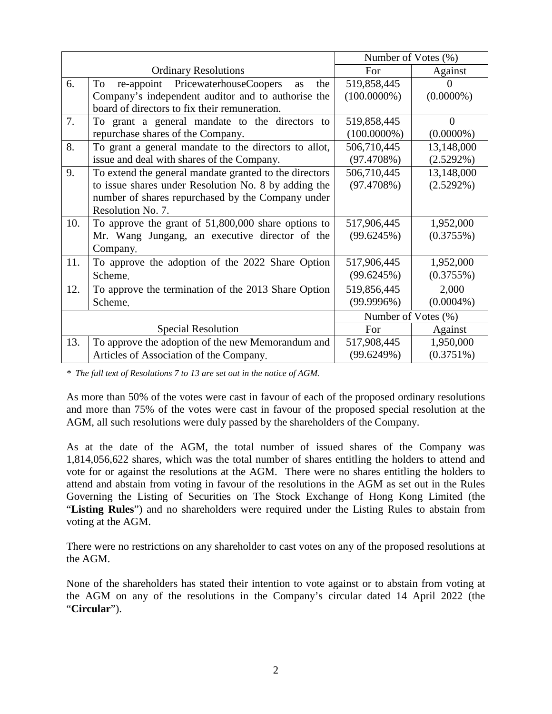|                             |                                                                | Number of Votes (%) |              |
|-----------------------------|----------------------------------------------------------------|---------------------|--------------|
| <b>Ordinary Resolutions</b> |                                                                | For                 | Against      |
| 6.                          | <b>PricewaterhouseCoopers</b><br>To<br>the<br>re-appoint<br>as | 519,858,445         |              |
|                             | Company's independent auditor and to authorise the             | $(100.0000\%)$      | $(0.0000\%)$ |
|                             | board of directors to fix their remuneration.                  |                     |              |
| 7.                          | To grant a general mandate to the directors to                 | 519,858,445         | $\Omega$     |
|                             | repurchase shares of the Company.                              | $(100.0000\%)$      | $(0.0000\%)$ |
| 8.                          | To grant a general mandate to the directors to allot,          | 506,710,445         | 13,148,000   |
|                             | issue and deal with shares of the Company.                     | (97.4708%)          | $(2.5292\%)$ |
| 9.                          | To extend the general mandate granted to the directors         | 506,710,445         | 13,148,000   |
|                             | to issue shares under Resolution No. 8 by adding the           | (97.4708%)          | $(2.5292\%)$ |
|                             | number of shares repurchased by the Company under              |                     |              |
|                             | Resolution No. 7.                                              |                     |              |
| 10.                         | To approve the grant of 51,800,000 share options to            | 517,906,445         | 1,952,000    |
|                             | Mr. Wang Jungang, an executive director of the                 | (99.6245%)          | (0.3755%)    |
|                             | Company.                                                       |                     |              |
| 11.                         | To approve the adoption of the 2022 Share Option               | 517,906,445         | 1,952,000    |
|                             | Scheme.                                                        | (99.6245%)          | (0.3755%)    |
| 12.                         | To approve the termination of the 2013 Share Option            | 519,856,445         | 2,000        |
|                             | Scheme.                                                        | (99.9996%)          | $(0.0004\%)$ |
|                             |                                                                | Number of Votes (%) |              |
| <b>Special Resolution</b>   |                                                                | For                 | Against      |
| 13.                         | To approve the adoption of the new Memorandum and              | 517,908,445         | 1,950,000    |
|                             | Articles of Association of the Company.                        | (99.6249%)          | $(0.3751\%)$ |

*\* The full text of Resolutions 7 to 13 are set out in the notice of AGM.* 

As more than 50% of the votes were cast in favour of each of the proposed ordinary resolutions and more than 75% of the votes were cast in favour of the proposed special resolution at the AGM, all such resolutions were duly passed by the shareholders of the Company.

As at the date of the AGM, the total number of issued shares of the Company was 1,814,056,622 shares, which was the total number of shares entitling the holders to attend and vote for or against the resolutions at the AGM. There were no shares entitling the holders to attend and abstain from voting in favour of the resolutions in the AGM as set out in the Rules Governing the Listing of Securities on The Stock Exchange of Hong Kong Limited (the "**Listing Rules**") and no shareholders were required under the Listing Rules to abstain from voting at the AGM.

There were no restrictions on any shareholder to cast votes on any of the proposed resolutions at the AGM.

None of the shareholders has stated their intention to vote against or to abstain from voting at the AGM on any of the resolutions in the Company's circular dated 14 April 2022 (the "**Circular**").